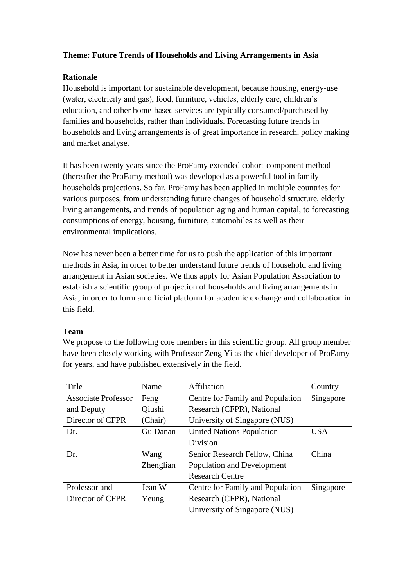# **Theme: Future Trends of Households and Living Arrangements in Asia**

## **Rationale**

Household is important for sustainable development, because housing, energy-use (water, electricity and gas), food, furniture, vehicles, elderly care, children's education, and other home-based services are typically consumed/purchased by families and households, rather than individuals. Forecasting future trends in households and living arrangements is of great importance in research, policy making and market analyse.

It has been twenty years since the ProFamy extended cohort-component method (thereafter the ProFamy method) was developed as a powerful tool in family households projections. So far, ProFamy has been applied in multiple countries for various purposes, from understanding future changes of household structure, elderly living arrangements, and trends of population aging and human capital, to forecasting consumptions of energy, housing, furniture, automobiles as well as their environmental implications.

Now has never been a better time for us to push the application of this important methods in Asia, in order to better understand future trends of household and living arrangement in Asian societies. We thus apply for Asian Population Association to establish a scientific group of projection of households and living arrangements in Asia, in order to form an official platform for academic exchange and collaboration in this field.

### **Team**

We propose to the following core members in this scientific group. All group member have been closely working with Professor Zeng Yi as the chief developer of ProFamy for years, and have published extensively in the field.

| Title                      | Name      | Affiliation                      | Country    |
|----------------------------|-----------|----------------------------------|------------|
| <b>Associate Professor</b> | Feng      | Centre for Family and Population | Singapore  |
| and Deputy                 | Qiushi    | Research (CFPR), National        |            |
| Director of CFPR           | (Chair)   | University of Singapore (NUS)    |            |
| Dr.                        | Gu Danan  | <b>United Nations Population</b> | <b>USA</b> |
|                            |           | <b>Division</b>                  |            |
| Dr.                        | Wang      | Senior Research Fellow, China    | China      |
|                            | Zhenglian | Population and Development       |            |
|                            |           | <b>Research Centre</b>           |            |
| Professor and              | Jean W    | Centre for Family and Population | Singapore  |
| Director of CFPR           | Yeung     | Research (CFPR), National        |            |
|                            |           | University of Singapore (NUS)    |            |